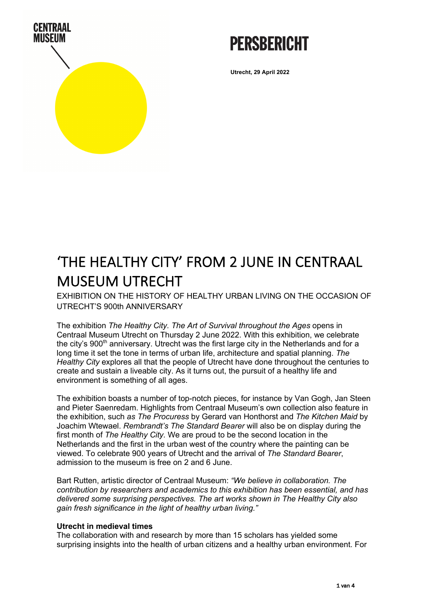

## **PERSBERICHT**

**Utrecht, 29 April 2022**

### 'THE HEALTHY CITY' FROM 2 JUNE IN CENTRAAL MUSEUM UTRECHT

EXHIBITION ON THE HISTORY OF HEALTHY URBAN LIVING ON THE OCCASION OF UTRECHT'S 900th ANNIVERSARY

The exhibition *The Healthy City. The Art of Survival throughout the Ages* opens in Centraal Museum Utrecht on Thursday 2 June 2022. With this exhibition, we celebrate the city's  $900<sup>th</sup>$  anniversary. Utrecht was the first large city in the Netherlands and for a long time it set the tone in terms of urban life, architecture and spatial planning. *The Healthy City* explores all that the people of Utrecht have done throughout the centuries to create and sustain a liveable city. As it turns out, the pursuit of a healthy life and environment is something of all ages.

The exhibition boasts a number of top-notch pieces, for instance by Van Gogh, Jan Steen and Pieter Saenredam. Highlights from Centraal Museum's own collection also feature in the exhibition, such *as The Procuress* by Gerard van Honthorst and *The Kitchen Maid* by Joachim Wtewael. *Rembrandt's The Standard Bearer* will also be on display during the first month of *The Healthy City.* We are proud to be the second location in the Netherlands and the first in the urban west of the country where the painting can be viewed. To celebrate 900 years of Utrecht and the arrival of *The Standard Bearer*, admission to the museum is free on 2 and 6 June.

Bart Rutten, artistic director of Centraal Museum: *"We believe in collaboration. The contribution by researchers and academics to this exhibition has been essential, and has delivered some surprising perspectives. The art works shown in The Healthy City also gain fresh significance in the light of healthy urban living."*

#### **Utrecht in medieval times**

The collaboration with and research by more than 15 scholars has yielded some surprising insights into the health of urban citizens and a healthy urban environment. For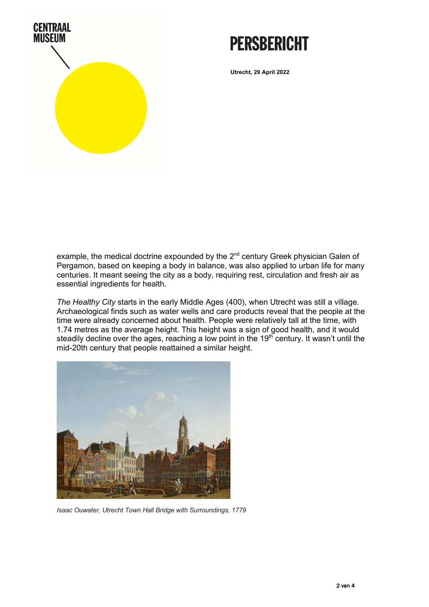

## **PERSBERICHT**

**Utrecht, 29 April 2022**

example, the medical doctrine expounded by the 2<sup>nd</sup> century Greek physician Galen of Pergamon, based on keeping a body in balance, was also applied to urban life for many centuries. It meant seeing the city as a body, requiring rest, circulation and fresh air as essential ingredients for health.

*The Healthy City* starts in the early Middle Ages (400), when Utrecht was still a village. Archaeological finds such as water wells and care products reveal that the people at the time were already concerned about health. People were relatively tall at the time, with 1.74 metres as the average height. This height was a sign of good health, and it would steadily decline over the ages, reaching a low point in the 19<sup>th</sup> century. It wasn't until the mid-20th century that people reattained a similar height.



*Isaac Ouwater, Utrecht Town Hall Bridge with Surroundings, 1779*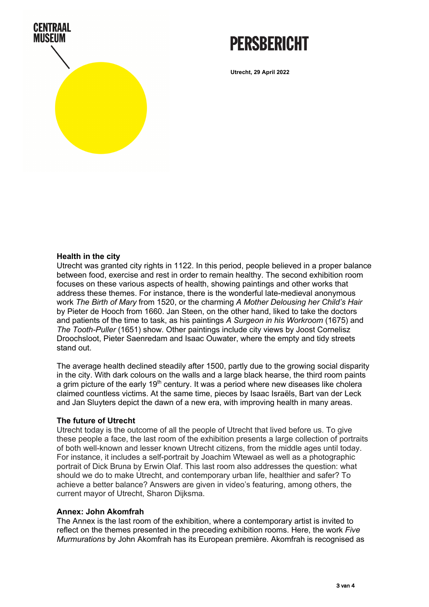

# **PFRSRFRICHT**

**Utrecht, 29 April 2022**

#### **Health in the city**

Utrecht was granted city rights in 1122. In this period, people believed in a proper balance between food, exercise and rest in order to remain healthy. The second exhibition room focuses on these various aspects of health, showing paintings and other works that address these themes. For instance, there is the wonderful late-medieval anonymous work *The Birth of Mary* from 1520, or the charming *A Mother Delousing her Child's Hair* by Pieter de Hooch from 1660. Jan Steen, on the other hand, liked to take the doctors and patients of the time to task, as his paintings *A Surgeon in his Workroom* (1675) and *The Tooth-Puller* (1651) show. Other paintings include city views by Joost Cornelisz Droochsloot, Pieter Saenredam and Isaac Ouwater, where the empty and tidy streets stand out.

The average health declined steadily after 1500, partly due to the growing social disparity in the city. With dark colours on the walls and a large black hearse, the third room paints a grim picture of the early  $19<sup>th</sup>$  century. It was a period where new diseases like cholera claimed countless victims. At the same time, pieces by Isaac Israëls, Bart van der Leck and Jan Sluyters depict the dawn of a new era, with improving health in many areas.

#### **The future of Utrecht**

Utrecht today is the outcome of all the people of Utrecht that lived before us. To give these people a face, the last room of the exhibition presents a large collection of portraits of both well-known and lesser known Utrecht citizens, from the middle ages until today. For instance, it includes a self-portrait by Joachim Wtewael as well as a photographic portrait of Dick Bruna by Erwin Olaf. This last room also addresses the question: what should we do to make Utrecht, and contemporary urban life, healthier and safer? To achieve a better balance? Answers are given in video's featuring, among others, the current mayor of Utrecht, Sharon Dijksma.

#### **Annex: John Akomfrah**

The Annex is the last room of the exhibition, where a contemporary artist is invited to reflect on the themes presented in the preceding exhibition rooms. Here, the work *Five Murmurations* by John Akomfrah has its European première. Akomfrah is recognised as